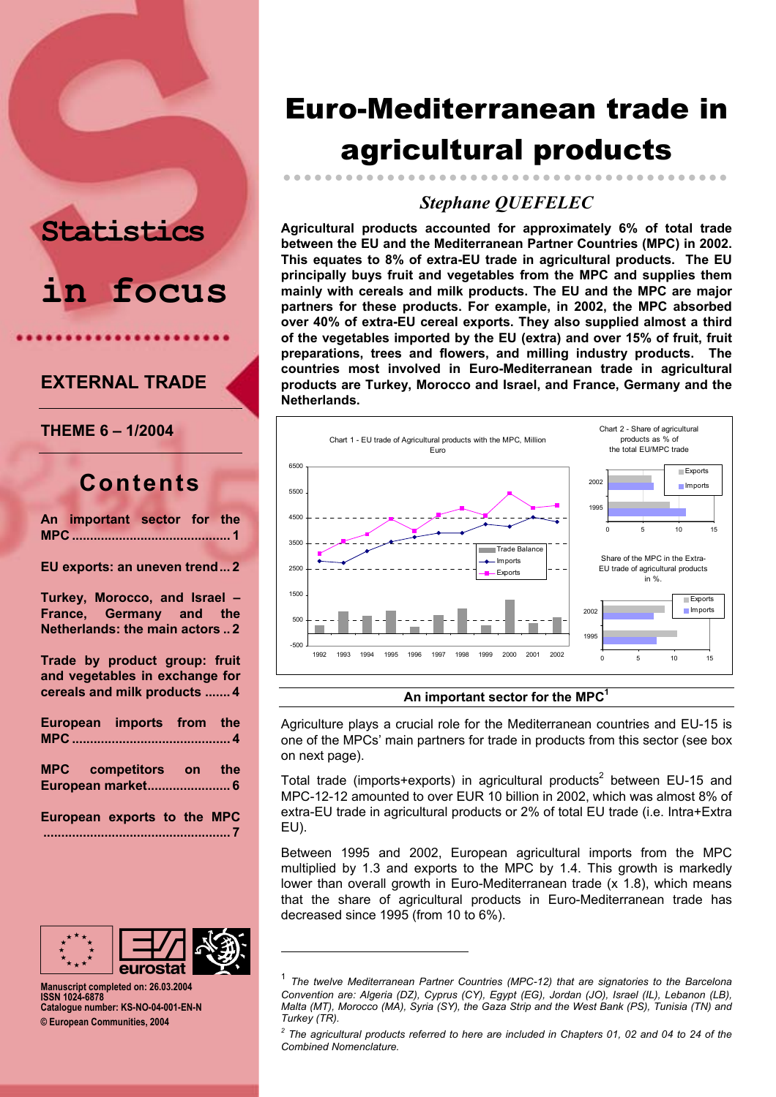# **in focus**

**Statistics** 

### **EXTERNAL TRADE**

**THEME 6 – 1/2004** 

## **Contents**

| An important sector for the |  |  |
|-----------------------------|--|--|
|                             |  |  |

**EU exports: an uneven trend... 2**

**Turkey, Morocco, and Israel – France, Germany and the Netherlands: the main actors .. 2**

**Trade by product group: fruit and vegetables in exchange for cereals and milk products ....... 4**

| European imports from the   |  |  |
|-----------------------------|--|--|
| MPC competitors on the      |  |  |
| European exports to the MPC |  |  |



l

**Manuscript completed on: 26.03.2004 ISSN 1024-6878 Catalogue number: KS-NO-04-001-EN-N © European Communities, 2004** 

## Euro-Mediterranean trade in agricultural products

## *Stephane QUEFELEC*

zzzzzzzzzzzzzzzzzzzzzzzzzzzzzzzzzzzzzzzzzzz

**Agricultural products accounted for approximately 6% of total trade between the EU and the Mediterranean Partner Countries (MPC) in 2002. This equates to 8% of extra-EU trade in agricultural products. The EU principally buys fruit and vegetables from the MPC and supplies them mainly with cereals and milk products. The EU and the MPC are major partners for these products. For example, in 2002, the MPC absorbed over 40% of extra-EU cereal exports. They also supplied almost a third of the vegetables imported by the EU (extra) and over 15% of fruit, fruit preparations, trees and flowers, and milling industry products. The countries most involved in Euro-Mediterranean trade in agricultural products are Turkey, Morocco and Israel, and France, Germany and the Netherlands.** 



#### **An important sector for the MPC1**

Agriculture plays a crucial role for the Mediterranean countries and EU-15 is one of the MPCs' main partners for trade in products from this sector (see box on next page).

Total trade (imports+exports) in agricultural products<sup>2</sup> between EU-15 and MPC-12-12 amounted to over EUR 10 billion in 2002, which was almost 8% of extra-EU trade in agricultural products or 2% of total EU trade (i.e. Intra+Extra EU).

Between 1995 and 2002, European agricultural imports from the MPC multiplied by 1.3 and exports to the MPC by 1.4. This growth is markedly lower than overall growth in Euro-Mediterranean trade (x 1.8), which means that the share of agricultural products in Euro-Mediterranean trade has decreased since 1995 (from 10 to 6%).

<sup>1</sup> *The twelve Mediterranean Partner Countries (MPC-12) that are signatories to the Barcelona Convention are: Algeria (DZ), Cyprus (CY), Egypt (EG), Jordan (JO), Israel (IL), Lebanon (LB), Malta (MT), Morocco (MA), Syria (SY), the Gaza Strip and the West Bank (PS), Tunisia (TN) and Turkey (TR).* 

 $^2$  The agricultural products referred to here are included in Chapters 01, 02 and 04 to 24 of the *Combined Nomenclature.*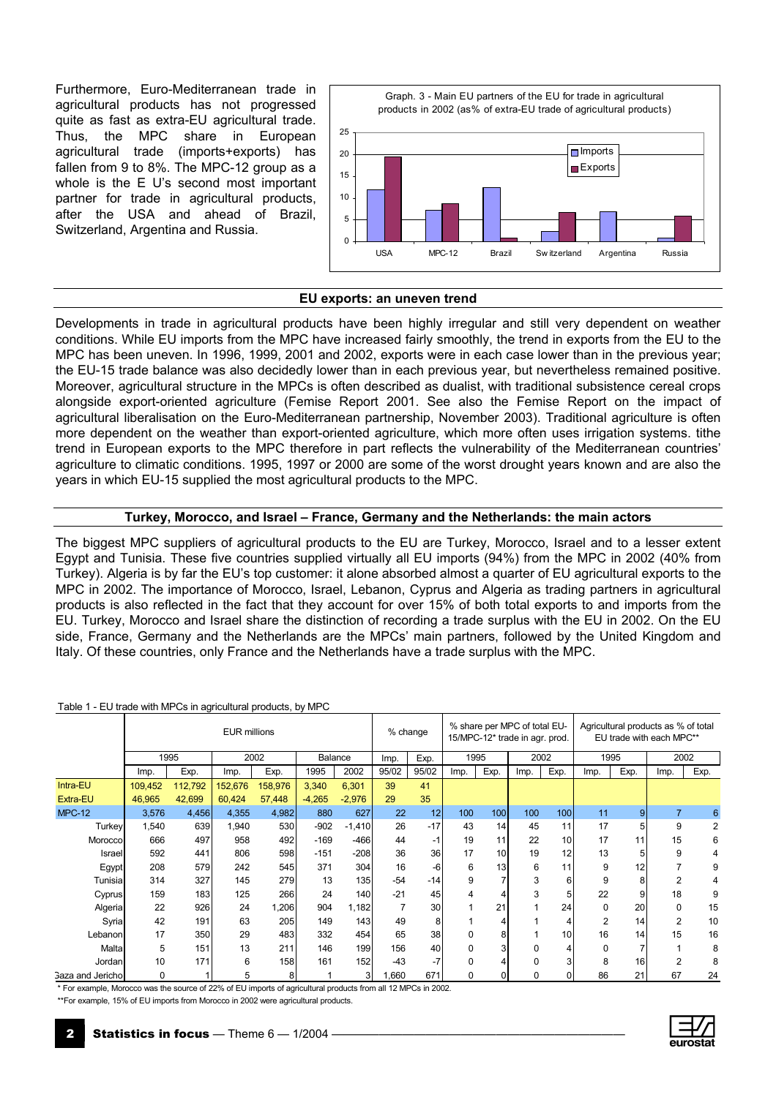Furthermore, Euro-Mediterranean trade in agricultural products has not progressed quite as fast as extra-EU agricultural trade. Thus, the MPC share in European agricultural trade (imports+exports) has fallen from 9 to 8%. The MPC-12 group as a whole is the E U's second most important partner for trade in agricultural products, after the USA and ahead of Brazil, Switzerland, Argentina and Russia.



#### **EU exports: an uneven trend**

Developments in trade in agricultural products have been highly irregular and still very dependent on weather conditions. While EU imports from the MPC have increased fairly smoothly, the trend in exports from the EU to the MPC has been uneven. In 1996, 1999, 2001 and 2002, exports were in each case lower than in the previous year; the EU-15 trade balance was also decidedly lower than in each previous year, but nevertheless remained positive. Moreover, agricultural structure in the MPCs is often described as dualist, with traditional subsistence cereal crops alongside export-oriented agriculture (Femise Report 2001. See also the Femise Report on the impact of agricultural liberalisation on the Euro-Mediterranean partnership, November 2003). Traditional agriculture is often more dependent on the weather than export-oriented agriculture, which more often uses irrigation systems. tithe trend in European exports to the MPC therefore in part reflects the vulnerability of the Mediterranean countries' agriculture to climatic conditions. 1995, 1997 or 2000 are some of the worst drought years known and are also the years in which EU-15 supplied the most agricultural products to the MPC.

#### **Turkey, Morocco, and Israel – France, Germany and the Netherlands: the main actors**

The biggest MPC suppliers of agricultural products to the EU are Turkey, Morocco, Israel and to a lesser extent Egypt and Tunisia. These five countries supplied virtually all EU imports (94%) from the MPC in 2002 (40% from Turkey). Algeria is by far the EU's top customer: it alone absorbed almost a quarter of EU agricultural exports to the MPC in 2002. The importance of Morocco, Israel, Lebanon, Cyprus and Algeria as trading partners in agricultural products is also reflected in the fact that they account for over 15% of both total exports to and imports from the EU. Turkey, Morocco and Israel share the distinction of recording a trade surplus with the EU in 2002. On the EU side, France, Germany and the Netherlands are the MPCs' main partners, followed by the United Kingdom and Italy. Of these countries, only France and the Netherlands have a trade surplus with the MPC.

| Table T - LO trade with MFCs in agricultural products, by MFC |         |         |                     |         |          |                |       |          |          |                 |                                                                |                 |                                                                 |                |                |      |  |
|---------------------------------------------------------------|---------|---------|---------------------|---------|----------|----------------|-------|----------|----------|-----------------|----------------------------------------------------------------|-----------------|-----------------------------------------------------------------|----------------|----------------|------|--|
|                                                               |         |         | <b>EUR millions</b> |         |          |                |       | % change |          |                 | % share per MPC of total EU-<br>15/MPC-12* trade in agr. prod. |                 | Agricultural products as % of total<br>EU trade with each MPC** |                |                |      |  |
|                                                               |         | 1995    |                     | 2002    | Balance  |                | Imp.  | Exp.     |          | 1995            |                                                                | 2002            |                                                                 | 1995           | 2002           |      |  |
|                                                               | Imp.    | Exp.    | Imp.                | Exp.    | 1995     | 2002           | 95/02 | 95/02    | Imp.     | Exp.            | Imp.                                                           | Exp.            | Imp.                                                            | Exp.           | Imp.           | Exp. |  |
| Intra-EU                                                      | 109,452 | 112,792 | 152,676             | 158,976 | 3,340    | 6,301          | 39    | 41       |          |                 |                                                                |                 |                                                                 |                |                |      |  |
| Extra-EU                                                      | 46,965  | 42,699  | 60,424              | 57,448  | $-4,265$ | $-2,976$       | 29    | 35       |          |                 |                                                                |                 |                                                                 |                |                |      |  |
| <b>MPC-12</b>                                                 | 3,576   | 4,456   | 4,355               | 4,982   | 880      | 627            | 22    | 12       | 100      | 100             | 100                                                            | 100             | 11                                                              | 9 <sub>l</sub> | $\overline{7}$ | 6    |  |
| <b>Turkey</b>                                                 | 1,540   | 639     | 1,940               | 530     | $-902$   | $-1,410$       | 26    | $-17$    | 43       | 14 <sub>1</sub> | 45                                                             | 11              | 17                                                              |                | 9              | 2    |  |
| Morocco                                                       | 666     | 497     | 958                 | 492     | $-169$   | $-466$         | 44    | $-1$     | 19       | 11              | 22                                                             | 10 <sup>1</sup> | 17                                                              | 11             | 15             | 6    |  |
| Israel                                                        | 592     | 441     | 806                 | 598     | $-151$   | $-208$         | 36    | 36       | 17       | 10 <sup>1</sup> | 19                                                             | 12              | 13                                                              |                | 9              | 4    |  |
| Egypt                                                         | 208     | 579     | 242                 | 545     | 371      | 304            | 16    | -6       | 6        | 13              | 6                                                              | 11              | 9                                                               | 12             | 7              | 9    |  |
| Tunisia                                                       | 314     | 327     | 145                 | 279     | 13       | 135            | $-54$ | $-14$    | 9        |                 | 3                                                              | 6               | 9                                                               |                | $\overline{2}$ | 4    |  |
| Cyprus                                                        | 159     | 183     | 125                 | 266     | 24       | 140            | $-21$ | 45       | 4        |                 | 3                                                              | 5               | 22                                                              |                | 18             | 9    |  |
| Algeria                                                       | 22      | 926     | 24                  | 1,206   | 904      | 1,182          |       | 30       |          | 21              |                                                                | 24              | $\Omega$                                                        | 20             | $\Omega$       | 15   |  |
| Syria                                                         | 42      | 191     | 63                  | 205     | 149      | 143            | 49    | 8        |          |                 |                                                                |                 | $\overline{2}$                                                  | 14             | $\overline{2}$ | 10   |  |
| Lebanon                                                       | 17      | 350     | 29                  | 483     | 332      | 454            | 65    | 38       | 0        | 81              |                                                                | 10 <sup>1</sup> | 16                                                              | 14             | 15             | 16   |  |
| Malta                                                         | 5       | 151     | 13                  | 211     | 146      | 199            | 156   | 40       | $\Omega$ |                 | 0                                                              |                 | $\Omega$                                                        |                |                | 8    |  |
| Jordan                                                        | 10      | 171     | 6                   | 158     | 161      | 152            | $-43$ | $-7$     | $\Omega$ |                 | 0                                                              |                 | 8                                                               | 16             | $\overline{2}$ | 8    |  |
| <b>Gaza and Jerichol</b>                                      | 0       |         | 5                   | 8       |          | 3 <sup>1</sup> | 1,660 | 671      | 0        | 01              | 0                                                              | 0               | 86                                                              | 21             | 67             | 24   |  |

#### Table 1 - EU trade with MPCs in agricultural products, by MPC

\* For example, Morocco was the source of 22% of EU imports of agricultural products from all 12 MPCs in 2002.

\*\*For example, 15% of EU imports from Morocco in 2002 were agricultural products.

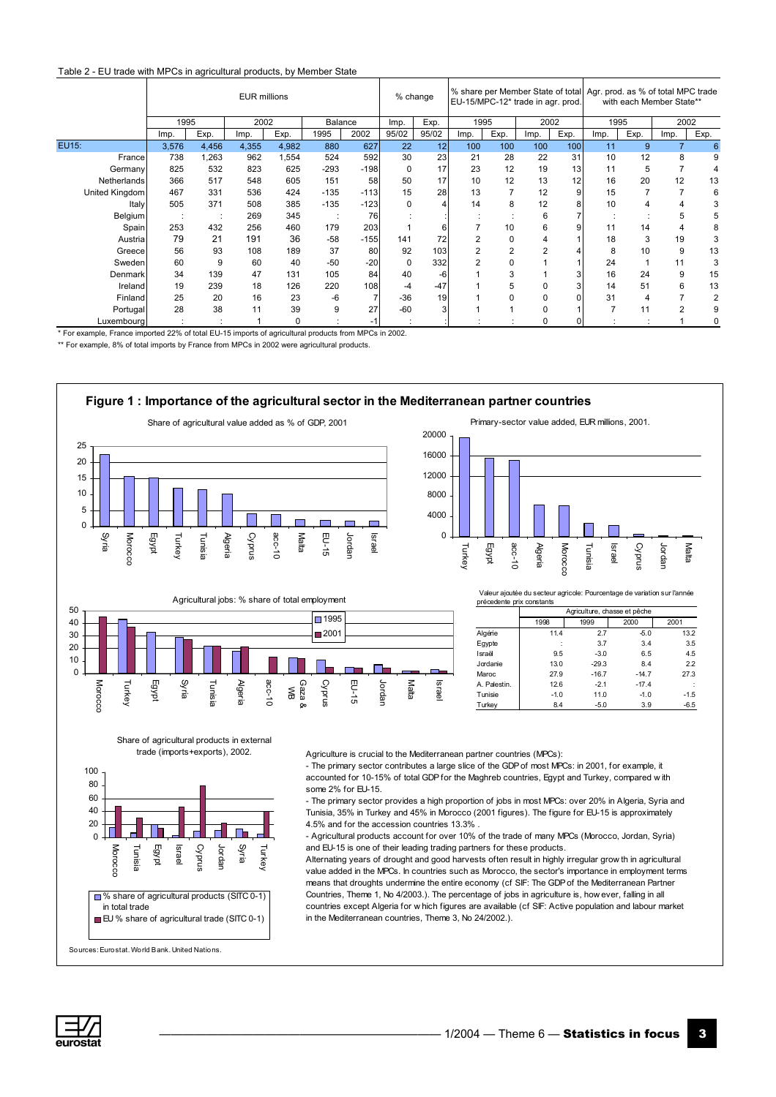#### Table 2 - EU trade with MPCs in agricultural products, by Member State

|                |       | <b>EUR millions</b> |       |          |         |        |          |       | % share per Member State of total Agr. prod. as % of total MPC trade<br>% change<br>EU-15/MPC-12* trade in agr. prod. |                |                |      |      | with each Member State** |                |      |  |  |
|----------------|-------|---------------------|-------|----------|---------|--------|----------|-------|-----------------------------------------------------------------------------------------------------------------------|----------------|----------------|------|------|--------------------------|----------------|------|--|--|
|                | 1995  |                     | 2002  |          | Balance |        | Imp.     | Exp.  | 1995                                                                                                                  |                | 2002           |      | 1995 |                          | 2002           |      |  |  |
|                | Imp.  | Exp.                | Imp.  | Exp.     | 1995    | 2002   | 95/02    | 95/02 | Imp.                                                                                                                  | Exp.           | Imp.           | Exp. | Imp. | Exp.                     | Imp.           | Exp. |  |  |
| EU15:          | 3,576 | 4,456               | 4,355 | 4,982    | 880     | 627    | 22       | 12    | 100                                                                                                                   | 100            | 100            | 100  | 11   | 9                        | $\overline{7}$ | 6    |  |  |
| France         | 738   | 1,263               | 962   | 1,554    | 524     | 592    | 30       | 23    | 21                                                                                                                    | 28             | 22             | 31   | 10   | 12                       | 8              | 9    |  |  |
| Germany        | 825   | 532                 | 823   | 625      | $-293$  | $-198$ | $\Omega$ | 17    | 23                                                                                                                    | 12             | 19             | 13   | 11   | 5                        |                |      |  |  |
| Netherlands    | 366   | 517                 | 548   | 605      | 151     | 58     | 50       | 17    | 10                                                                                                                    | 12             | 13             | 12   | 16   | 20                       | 12             | 13   |  |  |
| United Kingdom | 467   | 331                 | 536   | 424      | $-135$  | $-113$ | 15       | 28    | 13                                                                                                                    |                | 12             | 9    | 15   |                          | $\overline{7}$ | 6    |  |  |
| Italy          | 505   | 371                 | 508   | 385      | $-135$  | $-123$ | 0        |       | 14                                                                                                                    | 8              | 12             |      | 10   | 4                        | 4              |      |  |  |
| Belgium        |       |                     | 269   | 345      |         | 76     |          |       |                                                                                                                       |                | 6              |      |      |                          | 5              |      |  |  |
| Spain          | 253   | 432                 | 256   | 460      | 179     | 203    |          |       |                                                                                                                       | 10             | 6              | 9    | 11   | 14                       | 4              |      |  |  |
| Austria        | 79    | 21                  | 191   | 36       | $-58$   | $-155$ | 141      | 72    | 2                                                                                                                     | 0              |                |      | 18   | 3                        | 19             |      |  |  |
| Greecel        | 56    | 93                  | 108   | 189      | 37      | 80     | 92       | 103   |                                                                                                                       | $\overline{2}$ | $\overline{2}$ |      | 8    | 10                       | 9              | 13   |  |  |
| Swedenl        | 60    | 9                   | 60    | 40       | $-50$   | $-20$  | 0        | 332   |                                                                                                                       |                |                |      | 24   |                          | 11             |      |  |  |
| Denmark        | 34    | 139                 | 47    | 131      | 105     | 84     | 40       | -6    |                                                                                                                       | 3              |                |      | 16   | 24                       | 9              | 15   |  |  |
| Ireland        | 19    | 239                 | 18    | 126      | 220     | 108    | $-4$     | $-47$ |                                                                                                                       | 5              |                | 3    | 14   | 51                       | 6              | 13   |  |  |
| Finland        | 25    | 20                  | 16    | 23       | -6      |        | $-36$    | 19    |                                                                                                                       |                | 0              | 0    | 31   | 4                        |                | 2    |  |  |
| Portugal       | 28    | 38                  | 11    | 39       | 9       | 27     | $-60$    |       |                                                                                                                       |                | O              |      |      | 11                       | 2              |      |  |  |
| Luxembourg     |       |                     |       | $\Omega$ |         | $-1$   |          |       |                                                                                                                       |                | 0              | 0    |      |                          |                |      |  |  |

\* For example, France imported 22% of total EU-15 imports of agricultural products from MPCs in 2002.

\*\* For example, 8% of total imports by France from MPCs in 2002 were agricultural products.







Valeur ajoutée du secteur agricole: Pourcentage de variation sur l'année

| précedente prix constants |        | Agriculture, chasse et pêche |         |        |  |  |  |  |  |  |  |
|---------------------------|--------|------------------------------|---------|--------|--|--|--|--|--|--|--|
|                           | 1998   | 2000<br>1999<br>2001         |         |        |  |  |  |  |  |  |  |
| Algérie                   | 11.4   | 2.7                          | $-5.0$  | 13.2   |  |  |  |  |  |  |  |
| Eqypte                    |        | 3.7                          | 3.4     | 3.5    |  |  |  |  |  |  |  |
| Israël                    | 9.5    | $-3.0$                       | 6.5     | 4.5    |  |  |  |  |  |  |  |
| Jordanie                  | 13.0   | $-29.3$                      | 8.4     | 2.2    |  |  |  |  |  |  |  |
| Maroc                     | 27.9   | $-16.7$                      | $-14.7$ | 27.3   |  |  |  |  |  |  |  |
| A. Palestin.              | 12.6   | $-2.1$                       | $-17.4$ |        |  |  |  |  |  |  |  |
| Tunisie                   | $-1.0$ | 11.0                         | $-1.0$  | $-1.5$ |  |  |  |  |  |  |  |
| Turkev                    | 8.4    | $-5.0$                       | 3.9     | $-6.5$ |  |  |  |  |  |  |  |

Share of agricultural products in external trade (imports+exports), 2002.



Agriculture is crucial to the Mediterranean partner countries (MPCs):

- The primary sector contributes a large slice of the GDP of most MPCs: in 2001, for example, it accounted for 10-15% of total GDP for the Maghreb countries, Egypt and Turkey, compared w ith some 2% for EU-15.

- The primary sector provides a high proportion of jobs in most MPCs: over 20% in Algeria, Syria and Tunisia, 35% in Turkey and 45% in Morocco (2001 figures). The figure for EU-15 is approximately 4.5% and for the accession countries 13.3% .

- Agricultural products account for over 10% of the trade of many MPCs (Morocco, Jordan, Syria) and EU-15 is one of their leading trading partners for these products.

Alternating years of drought and good harvests often result in highly irregular grow th in agricultural value added in the MPCs. In countries such as Morocco, the sector's importance in employment terms means that droughts undermine the entire economy (cf SIF: The GDP of the Mediterranean Partner Countries, Theme 1, No 4/2003.). The percentage of jobs in agriculture is, how ever, falling in all countries except Algeria for w hich figures are available (cf SIF: Active population and labour market in the Mediterranean countries, Theme 3, No 24/2002.).

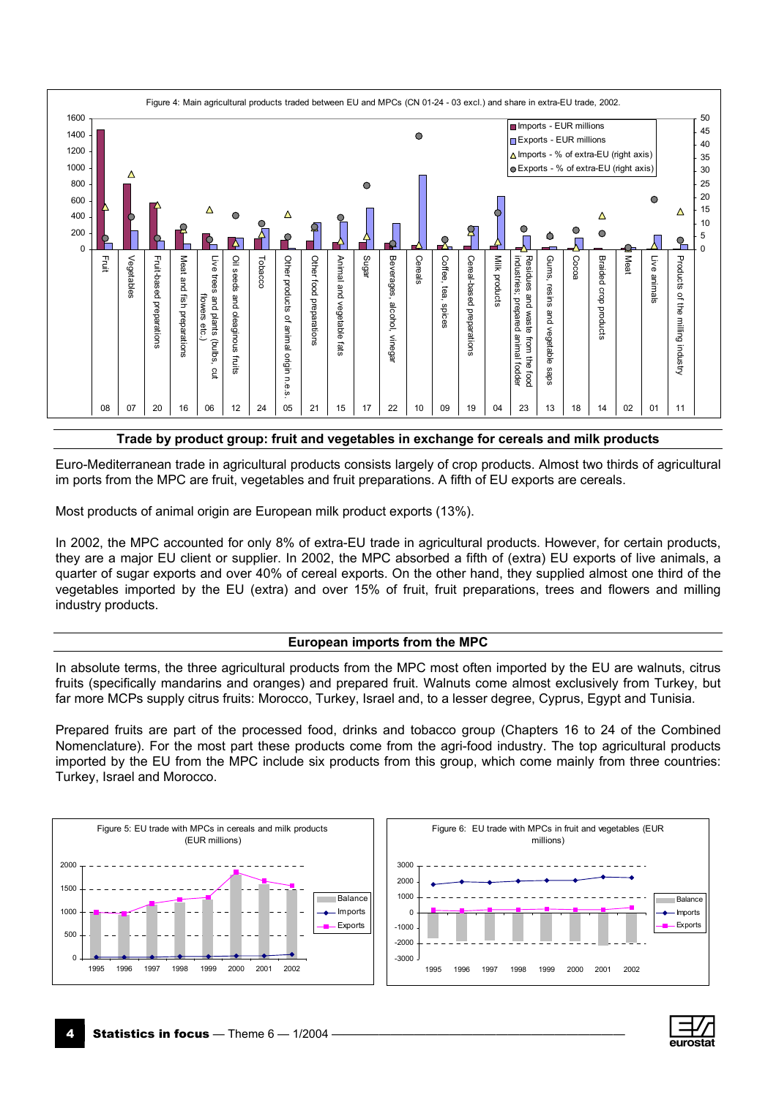

#### **Trade by product group: fruit and vegetables in exchange for cereals and milk products**

Euro-Mediterranean trade in agricultural products consists largely of crop products. Almost two thirds of agricultural im ports from the MPC are fruit, vegetables and fruit preparations. A fifth of EU exports are cereals.

Most products of animal origin are European milk product exports (13%).

In 2002, the MPC accounted for only 8% of extra-EU trade in agricultural products. However, for certain products, they are a major EU client or supplier. In 2002, the MPC absorbed a fifth of (extra) EU exports of live animals, a quarter of sugar exports and over 40% of cereal exports. On the other hand, they supplied almost one third of the vegetables imported by the EU (extra) and over 15% of fruit, fruit preparations, trees and flowers and milling industry products.

#### **European imports from the MPC**

In absolute terms, the three agricultural products from the MPC most often imported by the EU are walnuts, citrus fruits (specifically mandarins and oranges) and prepared fruit. Walnuts come almost exclusively from Turkey, but far more MCPs supply citrus fruits: Morocco, Turkey, Israel and, to a lesser degree, Cyprus, Egypt and Tunisia.

Prepared fruits are part of the processed food, drinks and tobacco group (Chapters 16 to 24 of the Combined Nomenclature). For the most part these products come from the agri-food industry. The top agricultural products imported by the EU from the MPC include six products from this group, which come mainly from three countries: Turkey, Israel and Morocco.



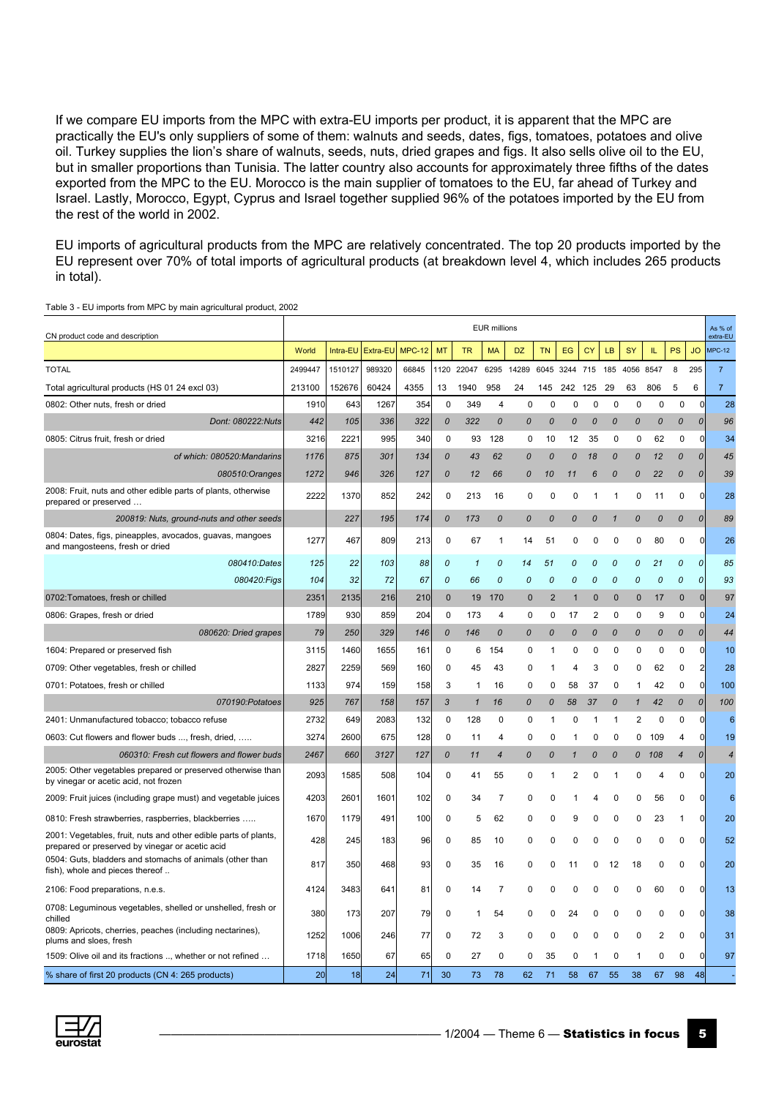If we compare EU imports from the MPC with extra-EU imports per product, it is apparent that the MPC are practically the EU's only suppliers of some of them: walnuts and seeds, dates, figs, tomatoes, potatoes and olive oil. Turkey supplies the lion's share of walnuts, seeds, nuts, dried grapes and figs. It also sells olive oil to the EU, but in smaller proportions than Tunisia. The latter country also accounts for approximately three fifths of the dates exported from the MPC to the EU. Morocco is the main supplier of tomatoes to the EU, far ahead of Turkey and Israel. Lastly, Morocco, Egypt, Cyprus and Israel together supplied 96% of the potatoes imported by the EU from the rest of the world in 2002.

EU imports of agricultural products from the MPC are relatively concentrated. The top 20 products imported by the EU represent over 70% of total imports of agricultural products (at breakdown level 4, which includes 265 products in total).

|                                                                                                                    |         |          |          |                 |               |              | <b>EUR millions</b> |                  |                  |              |             |              |               |             |                          |                | As % of         |
|--------------------------------------------------------------------------------------------------------------------|---------|----------|----------|-----------------|---------------|--------------|---------------------|------------------|------------------|--------------|-------------|--------------|---------------|-------------|--------------------------|----------------|-----------------|
| CN product code and description                                                                                    |         |          |          |                 |               |              |                     |                  |                  |              |             |              |               |             |                          |                | extra-EU        |
|                                                                                                                    | World   | Intra-EU | Extra-EU | <b>MPC-12</b>   | MT            | <b>TR</b>    | <b>MA</b>           | DZ               | <b>TN</b>        | EG           | <b>CY</b>   | LB           | <b>SY</b>     | IL          | PS                       | <b>JO</b>      | <b>MPC-12</b>   |
| <b>TOTAL</b>                                                                                                       | 2499447 | 1510127  | 989320   | 66845           | 1120          | 22047        | 6295                | 14289            | 6045             | 3244         | 715         | 185          | 4056 8547     |             | 8                        | 295            | $\overline{7}$  |
| Total agricultural products (HS 01 24 excl 03)                                                                     | 213100  | 152676   | 60424    | 4355            | 13            | 1940         | 958                 | 24               | 145              | 242          | 125         | 29           | 63            | 806         | 5                        | 6              | $\overline{7}$  |
| 0802: Other nuts, fresh or dried                                                                                   | 1910    | 643      | 1267     | 35 <sup>2</sup> | $\mathbf 0$   | 349          | 4                   | 0                | $\mathbf 0$      | 0            | $\mathbf 0$ | $\mathbf 0$  | $\mathbf 0$   | $\mathbf 0$ | $\mathbf 0$              | 0              | 28              |
| Dont: 080222:Nuts                                                                                                  | 442     | 105      | 336      | 322             | 0             | 322          | $\mathcal{O}$       | 0                | 0                | 0            | 0           | 0            | $\mathcal{O}$ | 0           | 0                        | 0              | 96              |
| 0805: Citrus fruit, fresh or dried                                                                                 | 3216    | 2221     | 995      | 340             | 0             | 93           | 128                 | 0                | 10               | 12           | 35          | 0            | 0             | 62          | 0                        | 0              | 34              |
| of which: 080520:Mandarins                                                                                         | 1176    | 875      | 301      | 134             | 0             | 43           | 62                  | 0                | 0                | 0            | 18          | 0            | 0             | 12          | 0                        | 0              | 45              |
| 080510:Oranges                                                                                                     | 1272    | 946      | 326      | 127             | 0             | 12           | 66                  | 0                | 10               | 11           | 6           | $\mathcal O$ | 0             | 22          | 0                        | 0              | 39              |
| 2008: Fruit, nuts and other edible parts of plants, otherwise<br>prepared or preserved                             | 2222    | 1370     | 852      | 242             | 0             | 213          | 16                  | 0                | 0                | 0            | 1           | 1            | 0             | 11          | 0                        | $\mathbf 0$    | 28              |
| 200819: Nuts, ground-nuts and other seeds                                                                          |         | 227      | 195      | 174             | $\mathcal{O}$ | 173          | $\mathcal{O}$       | 0                | $\boldsymbol{0}$ | 0            | 0           | $\mathbf{1}$ | $\mathcal{O}$ | 0           | 0                        | 0              | 89              |
| 0804: Dates, figs, pineapples, avocados, guavas, mangoes<br>and mangosteens, fresh or dried                        | 1277    | 467      | 809      | 213             | 0             | 67           | 1                   | 14               | 51               | 0            | 0           | 0            | 0             | 80          | 0                        | $\mathbf 0$    | 26              |
| 080410:Dates                                                                                                       | 125     | 22       | 103      | 88              | 0             | 1            | 0                   | 14               | 51               | 0            | 0           | 0            | 0             | 21          | 0                        | 0              | 85              |
| 080420:Figs                                                                                                        | 104     | 32       | 72       | 67              | 0             | 66           | 0                   | 0                | 0                | 0            | 0           | 0            | 0             | 0           | 0                        | 0              | 93              |
| 0702: Tomatoes, fresh or chilled                                                                                   | 2351    | 2135     | 216      | 210             | $\mathbf 0$   | 19           | 170                 | $\mathbf{0}$     | 2                | $\mathbf{1}$ | $\mathbf 0$ | $\mathbf{0}$ | $\mathbf 0$   | 17          | $\mathbf 0$              | $\mathbf 0$    | 97              |
| 0806: Grapes, fresh or dried                                                                                       | 1789    | 930      | 859      | 204             | 0             | 173          | 4                   | 0                | 0                | 17           | 2           | 0            | 0             | 9           | $\mathbf 0$              | $\Omega$       | 24              |
| 080620: Dried grapes                                                                                               | 79      | 250      | 329      | 146             | $\mathcal{O}$ | 146          | 0                   | $\boldsymbol{0}$ | 0                | 0            | 0           | 0            | 0             | 0           | 0                        | 0              | 44              |
| 1604: Prepared or preserved fish                                                                                   | 3115    | 1460     | 1655     | 161             | 0             | 6            | 154                 | 0                | 1                | 0            | 0           | 0            | 0             | $\mathbf 0$ | 0                        | $\mathbf 0$    | 10              |
| 0709: Other vegetables, fresh or chilled                                                                           | 2827    | 2259     | 569      | 160             | $\mathbf 0$   | 45           | 43                  | 0                | 1                | 4            | 3           | 0            | 0             | 62          | 0                        | $\overline{c}$ | 28              |
| 0701: Potatoes, fresh or chilled                                                                                   | 1133    | 974      | 159      | 158             | 3             | 1            | 16                  | 0                | 0                | 58           | 37          | 0            | 1             | 42          | 0                        | $\mathbf 0$    | 100             |
| 070190:Potatoes                                                                                                    | 925     | 767      | 158      | 157             | 3             | $\mathbf{1}$ | 16                  | 0                | 0                | 58           | 37          | 0            | $\mathbf{1}$  | 42          | 0                        | 0              | 100             |
| 2401: Unmanufactured tobacco; tobacco refuse                                                                       | 2732    | 649      | 2083     | 132             | $\mathbf 0$   | 128          | 0                   | 0                | 1                | 0            | 1           | $\mathbf{1}$ | 2             | $\pmb{0}$   | $\mathbf 0$              | $\mathbf 0$    | 6               |
| 0603: Cut flowers and flower buds , fresh, dried,                                                                  | 3274    | 2600     | 675      | 128             | $\Omega$      | 11           | 4                   | 0                | 0                | 1            | 0           | 0            | 0             | 109         | 4                        | $\Omega$       | 19              |
| 060310: Fresh cut flowers and flower buds                                                                          | 2467    | 660      | 3127     | 127             | 0             | 11           | $\overline{4}$      | 0                | 0                | $\mathbf{1}$ | 0           | 0            |               | 0 108       | $\overline{\mathcal{A}}$ | 0              | $\overline{4}$  |
| 2005: Other vegetables prepared or preserved otherwise than<br>by vinegar or acetic acid, not frozen               | 2093    | 1585     | 508      | 104             | 0             | 41           | 55                  | 0                | 1                | 2            | 0           | -1           | 0             | 4           | 0                        | 0              | 20              |
| 2009: Fruit juices (including grape must) and vegetable juices                                                     | 4203    | 2601     | 1601     | 102             | $\mathbf 0$   | 34           | 7                   | 0                | 0                | 1            | 4           | 0            | 0             | 56          | 0                        | $\mathbf 0$    | $6\phantom{1}6$ |
| 0810: Fresh strawberries, raspberries, blackberries                                                                | 1670    | 1179     | 491      | 100             | 0             | 5            | 62                  | 0                | 0                | 9            | 0           | 0            | 0             | 23          | 1                        | $\mathbf 0$    | 20              |
| 2001: Vegetables, fruit, nuts and other edible parts of plants,<br>prepared or preserved by vinegar or acetic acid | 428     | 245      | 183      | 96              | 0             | 85           | 10                  | 0                | 0                | 0            | 0           | 0            | 0             | 0           | 0                        | $\mathbf 0$    | 52              |
| 0504: Guts, bladders and stomachs of animals (other than<br>fish), whole and pieces thereof                        | 817     | 350      | 468      | 93              | 0             | 35           | 16                  | 0                | 0                | 11           | 0           | 12           | 18            | 0           | $\mathbf 0$              | $\mathbf 0$    | 20              |
| 2106: Food preparations, n.e.s.                                                                                    | 4124    | 3483     | 641      | 81              | 0             | 14           | $\overline{7}$      | 0                | 0                | 0            | 0           | 0            | 0             | 60          | 0                        | $\mathbf 0$    | 13              |
| 0708: Leguminous vegetables, shelled or unshelled, fresh or<br>chilled                                             | 380     | 173      | 207      | 79              | 0             | 1            | 54                  | 0                | 0                | 24           | $\Omega$    | 0            | 0             | 0           | 0                        | 0              | 38              |
| 0809: Apricots, cherries, peaches (including nectarines),<br>plums and sloes, fresh                                | 1252    | 1006     | 246      | 77              | 0             | 72           | 3                   | 0                | 0                | 0            | 0           | 0            | 0             | 2           | 0                        | 0              | 31              |
| 1509: Olive oil and its fractions , whether or not refined                                                         | 1718    | 1650     | 67       | 65              | 0             | 27           | 0                   | 0                | 35               | 0            | 1           | 0            |               | 0           | 0                        | 0              | 97              |
| % share of first 20 products (CN 4: 265 products)                                                                  | 20      | 18       | 24       | 71              | 30            | 73           | 78                  | 62               | 71               | 58           | 67          | 55           | 38            | 67          | 98                       | 48             |                 |

Table 3 - EU imports from MPC by main agricultural product, 2002

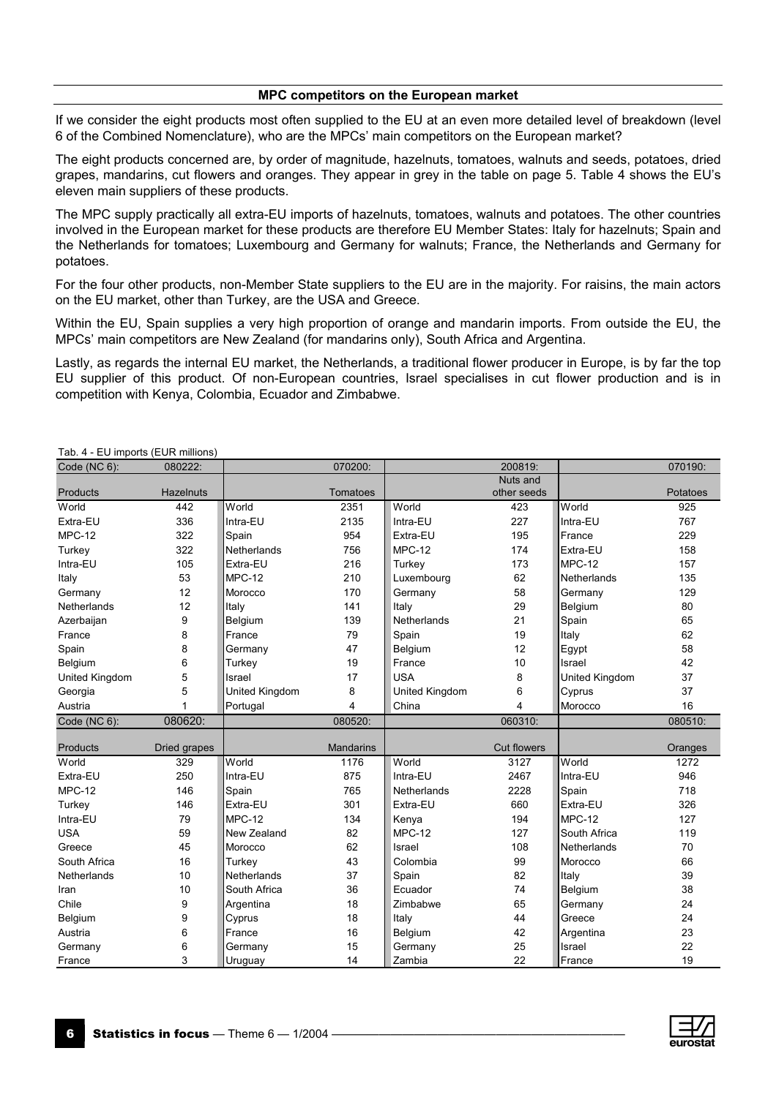#### **MPC competitors on the European market**

If we consider the eight products most often supplied to the EU at an even more detailed level of breakdown (level 6 of the Combined Nomenclature), who are the MPCs' main competitors on the European market?

The eight products concerned are, by order of magnitude, hazelnuts, tomatoes, walnuts and seeds, potatoes, dried grapes, mandarins, cut flowers and oranges. They appear in grey in the table on page 5. Table 4 shows the EU's eleven main suppliers of these products.

The MPC supply practically all extra-EU imports of hazelnuts, tomatoes, walnuts and potatoes. The other countries involved in the European market for these products are therefore EU Member States: Italy for hazelnuts; Spain and the Netherlands for tomatoes; Luxembourg and Germany for walnuts; France, the Netherlands and Germany for potatoes.

For the four other products, non-Member State suppliers to the EU are in the majority. For raisins, the main actors on the EU market, other than Turkey, are the USA and Greece.

Within the EU, Spain supplies a very high proportion of orange and mandarin imports. From outside the EU, the MPCs' main competitors are New Zealand (for mandarins only), South Africa and Argentina.

Lastly, as regards the internal EU market, the Netherlands, a traditional flower producer in Europe, is by far the top EU supplier of this product. Of non-European countries, Israel specialises in cut flower production and is in competition with Kenya, Colombia, Ecuador and Zimbabwe.

| Code ( $NC 6$ ):   | 080222:          |                | 070200:          |                         | 200819:            |                | 070190:  |
|--------------------|------------------|----------------|------------------|-------------------------|--------------------|----------------|----------|
|                    |                  |                |                  |                         | Nuts and           |                |          |
| Products           | <b>Hazelnuts</b> |                | Tomatoes         |                         | other seeds        |                | Potatoes |
| World              | 442              | World          | 2351             | World                   | 423                | World          | 925      |
| Extra-EU           | 336              | Intra-EU       | 2135             | Intra-EU                | 227                | Intra-EU       | 767      |
| $MPC-12$           | 322              | Spain          | 954              | Extra-EU                | 195                | France         | 229      |
| Turkey             | 322              | Netherlands    | 756              | $MPC-12$                | 174                | Extra-EU       | 158      |
| Intra-EU           | 105              | Extra-EU       | 216              | Turkey                  | 173                | $MPC-12$       | 157      |
| Italy              | 53               | $MPC-12$       | 210              | Luxembourg              | 62                 | Netherlands    | 135      |
| Germany            | 12               | Morocco        | 170              | Germany                 | 58                 | Germany        | 129      |
| <b>Netherlands</b> | 12               | Italy          | 141              | Italy                   | 29                 | Belgium        | 80       |
| Azerbaijan         | 9                | Belgium        | 139              | Netherlands             | 21                 | Spain          | 65       |
| France             | 8                | France         | 79               | Spain                   | 19                 | Italy          | 62       |
| Spain              | 8                | Germany        | 47               | Belgium                 | 12                 | Egypt          | 58       |
| Belgium            | 6                | Turkey         | 19               | France                  | 10                 | Israel         | 42       |
| United Kingdom     | 5                | Israel         | 17               | <b>USA</b>              | 8                  | United Kingdom | 37       |
| Georgia            | 5                | United Kingdom | 8                | United Kingdom          | 6                  | Cyprus         | 37       |
| Austria            | 1                | Portugal       | $\overline{4}$   | China                   | 4                  | Morocco        | 16       |
| Code (NC 6):       | 080620:          |                | 080520:          |                         | 060310:            |                | 080510:  |
|                    |                  |                |                  |                         |                    |                |          |
| Products           | Dried grapes     |                | <b>Mandarins</b> |                         | <b>Cut flowers</b> |                | Oranges  |
| World              | 329              | World          | 1176             | World                   | 3127               | World          | 1272     |
| Extra-EU           | 250              | Intra-EU       | 875              | Intra-EU                | 2467               | Intra-EU       | 946      |
| <b>MPC-12</b>      | 146              | Spain          | 765              | Netherlands             | 2228               | Spain          | 718      |
| Turkey             | 146              | Extra-EU       | 301              | Extra-EU                | 660                | Extra-EU       | 326      |
| Intra-EU           | 79               | $MPC-12$       | 134              | Kenya                   | 194                | $MPC-12$       | 127      |
| <b>USA</b>         | 59               | New Zealand    | 82               | $MPC-12$                | 127                | South Africa   | 119      |
| Greece             | 45               | Morocco        | 62               | Israel                  | 108                | Netherlands    | 70       |
| South Africa       | 16               | Turkey         | 43               | Colombia                | 99                 | Morocco        | 66       |
| Netherlands        | 10               | Netherlands    | 37               | Spain                   | 82                 | Italy          | 39       |
| Iran               | 10               | South Africa   | 36               | Ecuador                 | 74                 | Belgium        | 38       |
| Chile              | 9                | Argentina      | 18               | Zimbabwe                | 65                 | Germany        | 24       |
| Belgium            | 9                | Cyprus         | 18               | Italy                   | 44                 | Greece         | 24       |
| Austria            | 6                | France         | 16               | Belgium                 | 42                 | Argentina      | 23       |
| Germany            | 6                | Germany        | 15               | 25<br>Germany<br>Israel |                    |                | 22       |
| France             | 3                | Uruguay        | 14               | Zambia                  | 22                 | France         | 19       |

Tab. 4 - EU imports (EUR millions)

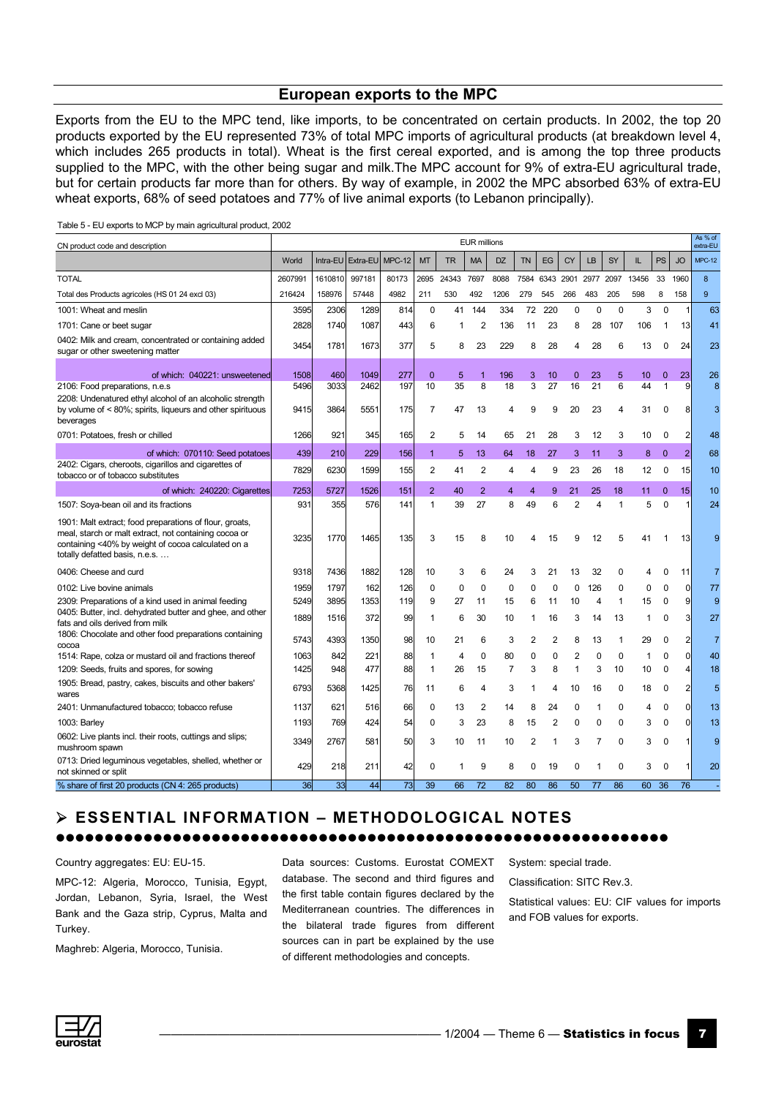#### **European exports to the MPC**

Exports from the EU to the MPC tend, like imports, to be concentrated on certain products. In 2002, the top 20 products exported by the EU represented 73% of total MPC imports of agricultural products (at breakdown level 4, which includes 265 products in total). Wheat is the first cereal exported, and is among the top three products supplied to the MPC, with the other being sugar and milk.The MPC account for 9% of extra-EU agricultural trade, but for certain products far more than for others. By way of example, in 2002 the MPC absorbed 63% of extra-EU wheat exports, 68% of seed potatoes and 77% of live animal exports (to Lebanon principally).

| CN product code and description                                                                                                                                                                          |         |          |                 |       |                |           | <b>EUR millions</b> |                |           |           |                |                |              |       |              |                | As % of<br>extra-EU |
|----------------------------------------------------------------------------------------------------------------------------------------------------------------------------------------------------------|---------|----------|-----------------|-------|----------------|-----------|---------------------|----------------|-----------|-----------|----------------|----------------|--------------|-------|--------------|----------------|---------------------|
|                                                                                                                                                                                                          | World   | Intra-EU | Extra-EU MPC-12 |       | <b>MT</b>      | <b>TR</b> | <b>MA</b>           | <b>DZ</b>      | <b>TN</b> | EG        | <b>CY</b>      | LB             | SY           | IL    | <b>PS</b>    | <b>JO</b>      | <b>MPC-12</b>       |
| <b>TOTAL</b>                                                                                                                                                                                             | 2607991 | 1610810  | 997181          | 80173 | 2695           | 24343     | 7697                | 8088           | 7584      | 6343 2901 |                | 2977 2097      |              | 13456 | 33           | 1960           | 8                   |
| Total des Products agricoles (HS 01 24 excl 03)                                                                                                                                                          | 216424  | 158976   | 57448           | 4982  | 211            | 530       | 492                 | 1206           | 279       | 545       | 266            | 483            | 205          | 598   | 8            | 158            | 9                   |
| 1001: Wheat and meslin                                                                                                                                                                                   | 3595    | 2306     | 1289            | 814   | 0              | 41        | 144                 | 334            | 72        | 220       | 0              | 0              | $\mathbf 0$  | 3     | $\mathbf 0$  | 1              | 63                  |
| 1701: Cane or beet sugar                                                                                                                                                                                 | 2828    | 1740     | 1087            | 443   | 6              | 1         | $\overline{2}$      | 136            | 11        | 23        | 8              | 28             | 107          | 106   | 1            | 13             | 41                  |
| 0402: Milk and cream, concentrated or containing added<br>sugar or other sweetening matter                                                                                                               | 3454    | 1781     | 1673            | 377   | 5              | 8         | 23                  | 229            | 8         | 28        | 4              | 28             | 6            | 13    | 0            | 24             | 23                  |
| of which: 040221: unsweetened                                                                                                                                                                            | 1508    | 460      | 1049            | 277   | $\mathbf{0}$   | 5         | 1                   | 196            | 3         | 10        | $\mathbf{0}$   | 23             | 5            | 10    | $\mathbf{0}$ | 23             | 26                  |
| 2106: Food preparations, n.e.s                                                                                                                                                                           | 5496    | 3033     | 2462            | 197   | 10             | 35        | 8                   | 18             | 3         | 27        | 16             | 21             | 6            | 44    | $\mathbf{1}$ | 9              | 8                   |
| 2208: Undenatured ethyl alcohol of an alcoholic strength<br>by volume of < 80%; spirits, liqueurs and other spirituous<br>beverages                                                                      | 9415    | 3864     | 5551            | 175   | 7              | 47        | 13                  | 4              | 9         | 9         | 20             | 23             | 4            | 31    | 0            |                | 3                   |
| 0701: Potatoes, fresh or chilled                                                                                                                                                                         | 1266    | 921      | 345             | 165   | 2              | 5         | 14                  | 65             | 21        | 28        | 3              | 12             | 3            | 10    | 0            |                | 48                  |
| of which: 070110: Seed potatoes                                                                                                                                                                          | 439     | 210      | 229             | 156   | $\mathbf{1}$   | 5         | 13                  | 64             | 18        | 27        | 3              | 11             | 3            | 8     | $\mathbf{0}$ | $\overline{2}$ | 68                  |
| 2402: Cigars, cheroots, cigarillos and cigarettes of<br>tobacco or of tobacco substitutes                                                                                                                | 7829    | 6230     | 1599            | 155   | 2              | 41        | 2                   | 4              | 4         | 9         | 23             | 26             | 18           | 12    | 0            | 15             | 10                  |
| of which: 240220: Cigarettes                                                                                                                                                                             | 7253    | 5727     | 1526            | 151   | $\overline{2}$ | 40        | $\overline{2}$      | 4              | 4         | 9         | 21             | 25             | 18           | 11    | $\mathbf{0}$ | 15             | 10                  |
| 1507: Soya-bean oil and its fractions                                                                                                                                                                    | 931     | 355      | 576             | 141   | $\mathbf{1}$   | 39        | 27                  | 8              | 49        | 6         | $\overline{2}$ | $\overline{4}$ | $\mathbf{1}$ | 5     | $\Omega$     |                | 24                  |
| 1901: Malt extract; food preparations of flour, groats,<br>meal, starch or malt extract, not containing cocoa or<br>containing <40% by weight of cocoa calculated on a<br>totally defatted basis, n.e.s. | 3235    | 1770     | 1465            | 135   | 3              | 15        | 8                   | 10             |           | 15        | 9              | 12             | 5            | 41    |              | 13             | 9                   |
| 0406: Cheese and curd                                                                                                                                                                                    | 9318    | 7436     | 1882            | 128   | 10             | 3         | 6                   | 24             | 3         | 21        | 13             | 32             | 0            | 4     | 0            | 11             | 7                   |
| 0102: Live bovine animals                                                                                                                                                                                | 1959    | 1797     | 162             | 126   | 0              | 0         | 0                   | 0              | 0         | 0         | 0              | 126            | 0            | 0     | 0            | $\mathsf{C}$   | 77                  |
| 2309: Preparations of a kind used in animal feeding                                                                                                                                                      | 5249    | 3895     | 1353            | 119   | 9              | 27        | 11                  | 15             | 6         | 11        | 10             | $\overline{4}$ | $\mathbf{1}$ | 15    | $\mathbf 0$  | c              | 9                   |
| 0405: Butter, incl. dehydrated butter and ghee, and other<br>fats and oils derived from milk                                                                                                             | 1889    | 1516     | 372             | 99    | 1              | 6         | 30                  | 10             | 1         | 16        | 3              | 14             | 13           | 1     | 0            |                | 27                  |
| 1806: Chocolate and other food preparations containing<br>cocoa                                                                                                                                          | 5743    | 4393     | 1350            | 98    | 10             | 21        | 6                   | 3              | 2         | 2         | 8              | 13             | 1            | 29    | 0            |                | $\overline{7}$      |
| 1514: Rape, colza or mustard oil and fractions thereof                                                                                                                                                   | 1063    | 842      | 221             | 88    | 1              | 4         | 0                   | 80             | 0         | 0         | 2              | 0              | 0            | 1     | 0            | $\Omega$       | 40                  |
| 1209: Seeds, fruits and spores, for sowing                                                                                                                                                               | 1425    | 948      | 477             | 88    | 1              | 26        | 15                  | $\overline{7}$ | 3         | 8         | $\mathbf{1}$   | 3              | 10           | 10    | $\mathbf 0$  |                | 18                  |
| 1905: Bread, pastry, cakes, biscuits and other bakers'<br>wares                                                                                                                                          | 6793    | 5368     | 1425            | 76    | 11             | 6         | 4                   | 3              | 1         | 4         | 10             | 16             | 0            | 18    | 0            |                | 5                   |
| 2401: Unmanufactured tobacco; tobacco refuse                                                                                                                                                             | 1137    | 621      | 516             | 66    | 0              | 13        | $\overline{2}$      | 14             | 8         | 24        | $\mathbf 0$    | 1              | 0            | 4     | 0            | ſ              | 13                  |
| 1003: Barley                                                                                                                                                                                             | 1193    | 769      | 424             | 54    | 0              | 3         | 23                  | 8              | 15        | 2         | 0              | 0              | 0            | 3     | 0            | ſ              | 13                  |
| 0602: Live plants incl. their roots, cuttings and slips;<br>mushroom spawn                                                                                                                               | 3349    | 2767     | 581             | 50    | 3              | 10        | 11                  | 10             | 2         | 1         | 3              | 7              | 0            | 3     | 0            |                | 9                   |
| 0713: Dried leguminous vegetables, shelled, whether or<br>not skinned or split                                                                                                                           | 429     | 218      | 211             | 42    | 0              | 1         | 9                   | 8              | 0         | 19        | 0              | 1              | 0            | 3     | 0            |                | 20                  |
| % share of first 20 products (CN 4: 265 products)                                                                                                                                                        | 36      | 33       | 44              | 73    | 39             | 66        | 72                  | 82             | 80        | 86        | 50             | 77             | 86           | 60    | 36           | 76             |                     |

Table 5 - EU exports to MCP by main agricultural product, 2002

#### ¾ **ESSENTIAL INFORMATION – METHODOLOGICAL NOTES**  zzzzzzzzzzzzzzzzzzzzzzzzzzzzzzzzzzzzzzzzzzzzzzzzzzzzzzzzzzzzzzz

Country aggregates: EU: EU-15.

MPC-12: Algeria, Morocco, Tunisia, Egypt, Jordan, Lebanon, Syria, Israel, the West Bank and the Gaza strip, Cyprus, Malta and Turkey.

Maghreb: Algeria, Morocco, Tunisia.

Data sources: Customs. Eurostat COMEXT database. The second and third figures and the first table contain figures declared by the Mediterranean countries. The differences in the bilateral trade figures from different sources can in part be explained by the use of different methodologies and concepts.

System: special trade. Classification: SITC Rev.3. Statistical values: EU: CIF values for imports and FOB values for exports.